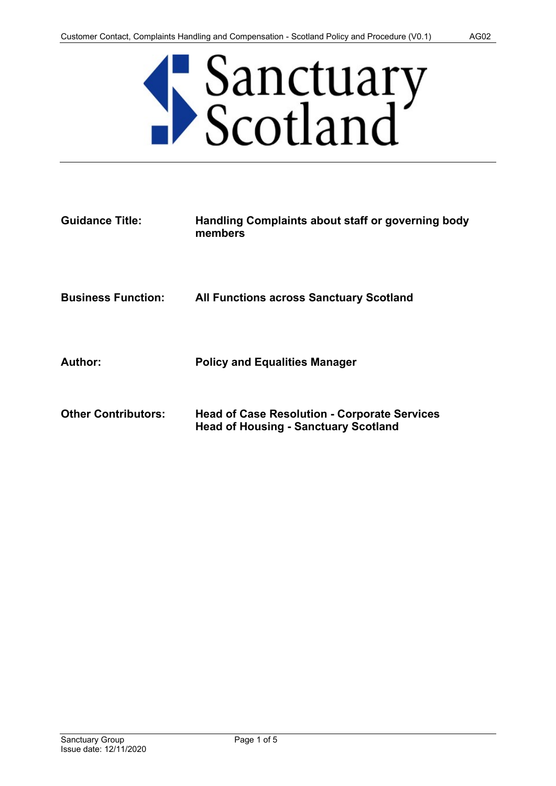# Sanctuary<br>Scotland

| <b>Guidance Title:</b>     | Handling Complaints about staff or governing body<br>members                                       |
|----------------------------|----------------------------------------------------------------------------------------------------|
| <b>Business Function:</b>  | <b>All Functions across Sanctuary Scotland</b>                                                     |
| Author:                    | <b>Policy and Equalities Manager</b>                                                               |
| <b>Other Contributors:</b> | <b>Head of Case Resolution - Corporate Services</b><br><b>Head of Housing - Sanctuary Scotland</b> |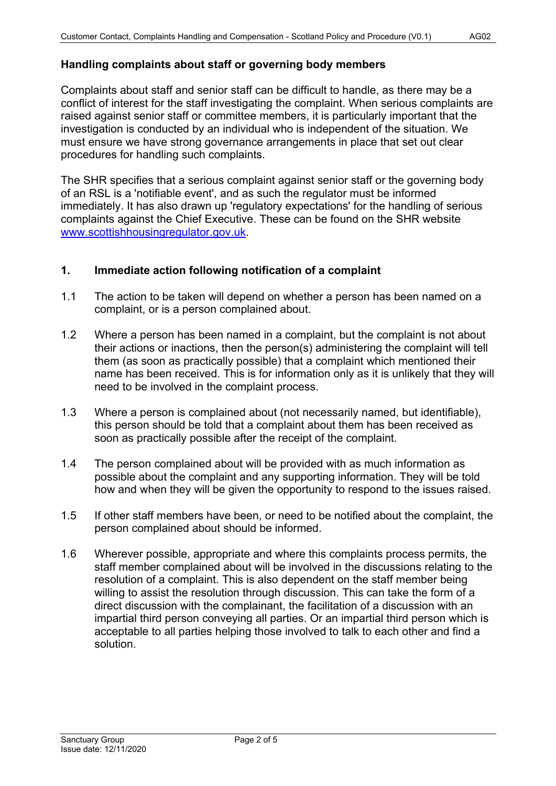### **Handling complaints about staff or governing body members**

Complaints about staff and senior staff can be difficult to handle, as there may be a conflict of interest for the staff investigating the complaint. When serious complaints are raised against senior staff or committee members, it is particularly important that the investigation is conducted by an individual who is independent of the situation. We must ensure we have strong governance arrangements in place that set out clear procedures for handling such complaints.

The SHR specifies that a serious complaint against senior staff or the governing body of an RSL is a 'notifiable event', and as such the regulator must be informed immediately. It has also drawn up 'regulatory expectations' for the handling of serious complaints against the Chief Executive. These can be found on the SHR website [www.scottishhousingregulator.gov.uk.](http://www.scottishhousingregulator.gov.uk/)

## **1. Immediate action following notification of a complaint**

- 1.1 The action to be taken will depend on whether a person has been named on a complaint, or is a person complained about.
- 1.2 Where a person has been named in a complaint, but the complaint is not about their actions or inactions, then the person(s) administering the complaint will tell them (as soon as practically possible) that a complaint which mentioned their name has been received. This is for information only as it is unlikely that they will need to be involved in the complaint process.
- 1.3 Where a person is complained about (not necessarily named, but identifiable), this person should be told that a complaint about them has been received as soon as practically possible after the receipt of the complaint.
- 1.4 The person complained about will be provided with as much information as possible about the complaint and any supporting information. They will be told how and when they will be given the opportunity to respond to the issues raised.
- 1.5 If other staff members have been, or need to be notified about the complaint, the person complained about should be informed.
- 1.6 Wherever possible, appropriate and where this complaints process permits, the staff member complained about will be involved in the discussions relating to the resolution of a complaint. This is also dependent on the staff member being willing to assist the resolution through discussion. This can take the form of a direct discussion with the complainant, the facilitation of a discussion with an impartial third person conveying all parties. Or an impartial third person which is acceptable to all parties helping those involved to talk to each other and find a solution.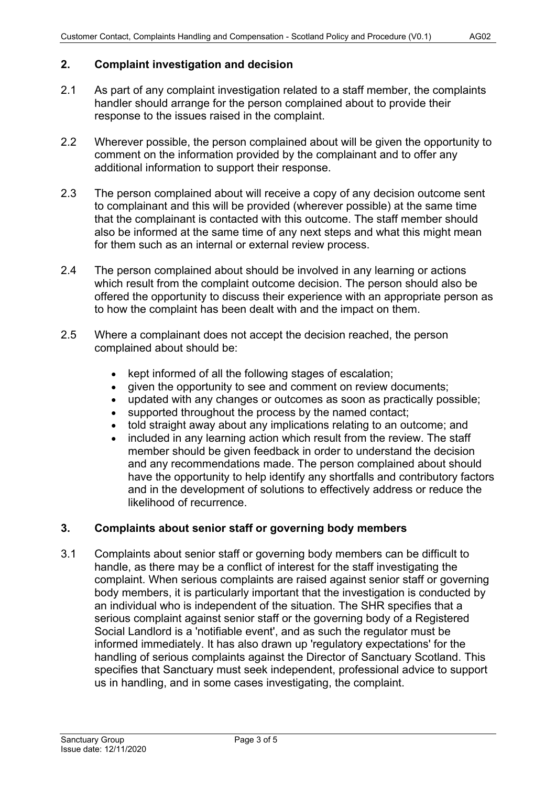# **2. Complaint investigation and decision**

- 2.1 As part of any complaint investigation related to a staff member, the complaints handler should arrange for the person complained about to provide their response to the issues raised in the complaint.
- 2.2 Wherever possible, the person complained about will be given the opportunity to comment on the information provided by the complainant and to offer any additional information to support their response.
- 2.3 The person complained about will receive a copy of any decision outcome sent to complainant and this will be provided (wherever possible) at the same time that the complainant is contacted with this outcome. The staff member should also be informed at the same time of any next steps and what this might mean for them such as an internal or external review process.
- 2.4 The person complained about should be involved in any learning or actions which result from the complaint outcome decision. The person should also be offered the opportunity to discuss their experience with an appropriate person as to how the complaint has been dealt with and the impact on them.
- 2.5 Where a complainant does not accept the decision reached, the person complained about should be:
	- kept informed of all the following stages of escalation;
	- given the opportunity to see and comment on review documents;
	- updated with any changes or outcomes as soon as practically possible;
	- supported throughout the process by the named contact;
	- told straight away about any implications relating to an outcome; and
	- included in any learning action which result from the review. The staff member should be given feedback in order to understand the decision and any recommendations made. The person complained about should have the opportunity to help identify any shortfalls and contributory factors and in the development of solutions to effectively address or reduce the likelihood of recurrence.

# **3. Complaints about senior staff or governing body members**

3.1 Complaints about senior staff or governing body members can be difficult to handle, as there may be a conflict of interest for the staff investigating the complaint. When serious complaints are raised against senior staff or governing body members, it is particularly important that the investigation is conducted by an individual who is independent of the situation. The SHR specifies that a serious complaint against senior staff or the governing body of a Registered Social Landlord is a 'notifiable event', and as such the regulator must be informed immediately. It has also drawn up 'regulatory expectations' for the handling of serious complaints against the Director of Sanctuary Scotland. This specifies that Sanctuary must seek independent, professional advice to support us in handling, and in some cases investigating, the complaint.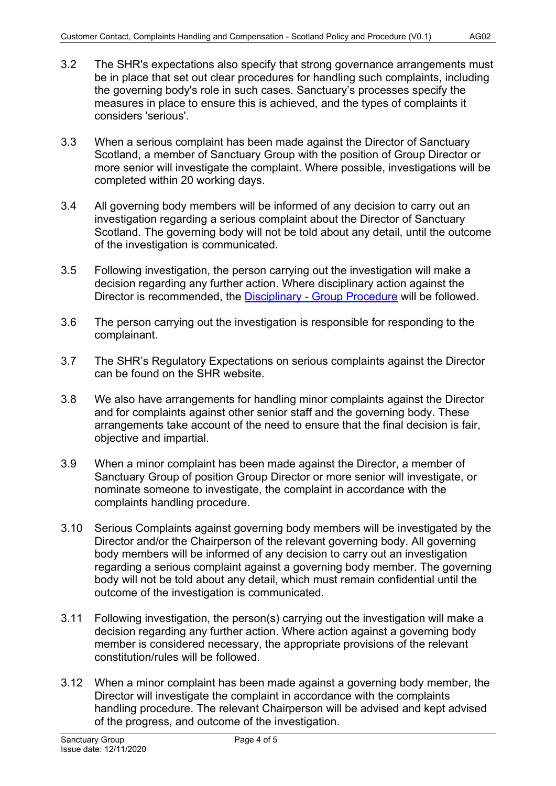- 3.2 The SHR's expectations also specify that strong governance arrangements must be in place that set out clear procedures for handling such complaints, including the governing body's role in such cases. Sanctuary's processes specify the measures in place to ensure this is achieved, and the types of complaints it considers 'serious'.
- 3.3 When a serious complaint has been made against the Director of Sanctuary Scotland, a member of Sanctuary Group with the position of Group Director or more senior will investigate the complaint. Where possible, investigations will be completed within 20 working days.
- 3.4 All governing body members will be informed of any decision to carry out an investigation regarding a serious complaint about the Director of Sanctuary Scotland. The governing body will not be told about any detail, until the outcome of the investigation is communicated.
- 3.5 Following investigation, the person carrying out the investigation will make a decision regarding any further action. Where disciplinary action against the Director is recommended, the Disciplinary - [Group Procedure](https://solis/PolicyManagement/policy/Policies/Forms/Policy%20Document%20Set/docsethomepage.aspx?ID=3940&FolderCTID=0x0120D52000DE99EA054D4DF944BE591D81E49729D0008C670BDB86BED740B0B89E295CD8357C&List=a03723e1-d48b-4958-9669-9b86a90ef8b0&RootFolder=%2FPolicyManagement%2Fpolicy%2FPolicies%2FDisciplinary%20%2D%20Group&RecSrc=%2FPolicyManagement%2Fpolicy%2FPolicies%2FDisciplinary%20%2D%20Group) will be followed.
- 3.6 The person carrying out the investigation is responsible for responding to the complainant.
- 3.7 The SHR's Regulatory Expectations on serious complaints against the Director can be found on the SHR website.
- 3.8 We also have arrangements for handling minor complaints against the Director and for complaints against other senior staff and the governing body. These arrangements take account of the need to ensure that the final decision is fair, objective and impartial.
- 3.9 When a minor complaint has been made against the Director, a member of Sanctuary Group of position Group Director or more senior will investigate, or nominate someone to investigate, the complaint in accordance with the complaints handling procedure.
- 3.10 Serious Complaints against governing body members will be investigated by the Director and/or the Chairperson of the relevant governing body. All governing body members will be informed of any decision to carry out an investigation regarding a serious complaint against a governing body member. The governing body will not be told about any detail, which must remain confidential until the outcome of the investigation is communicated.
- 3.11 Following investigation, the person(s) carrying out the investigation will make a decision regarding any further action. Where action against a governing body member is considered necessary, the appropriate provisions of the relevant constitution/rules will be followed.
- 3.12 When a minor complaint has been made against a governing body member, the Director will investigate the complaint in accordance with the complaints handling procedure. The relevant Chairperson will be advised and kept advised of the progress, and outcome of the investigation.